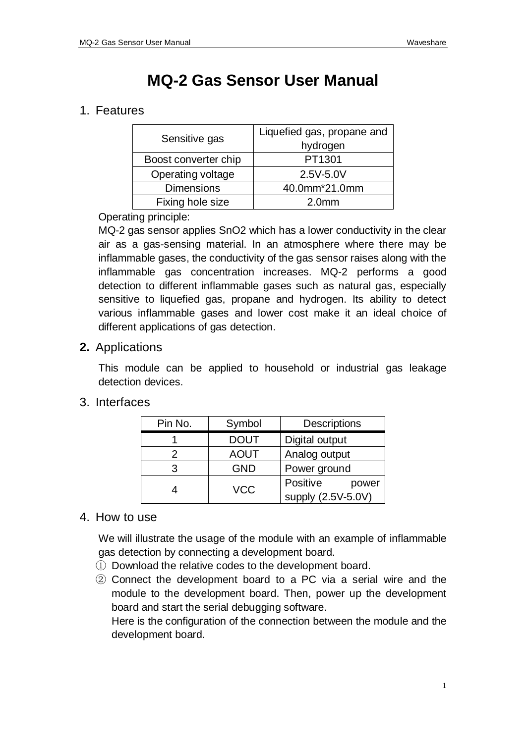# **MQ-2 Gas Sensor User Manual**

# 1. Features

| Sensitive gas        | Liquefied gas, propane and<br>hydrogen |
|----------------------|----------------------------------------|
| Boost converter chip | PT1301                                 |
| Operating voltage    | 2.5V-5.0V                              |
| <b>Dimensions</b>    | 40.0mm*21.0mm                          |
| Fixing hole size     | 2.0 <sub>mm</sub>                      |

### Operating principle:

MQ-2 gas sensor applies SnO2 which has a lower conductivity in the clear air as a gas-sensing material. In an atmosphere where there may be inflammable gases, the conductivity of the gas sensor raises along with the inflammable gas concentration increases. MQ-2 performs a good detection to different inflammable gases such as natural gas, especially sensitive to liquefied gas, propane and hydrogen. Its ability to detect various inflammable gases and lower cost make it an ideal choice of different applications of gas detection.

## **2.** Applications

This module can be applied to household or industrial gas leakage detection devices.

## 3. Interfaces

| Pin No. | Symbol      | <b>Descriptions</b>                     |
|---------|-------------|-----------------------------------------|
|         | <b>DOUT</b> | Digital output                          |
| 2       | <b>AOUT</b> | Analog output                           |
| 3       | <b>GND</b>  | Power ground                            |
|         | <b>VCC</b>  | Positive<br>power<br>supply (2.5V-5.0V) |

### 4. How to use

We will illustrate the usage of the module with an example of inflammable gas detection by connecting a development board.

- ① Download the relative codes to the development board.
- ② Connect the development board to a PC via a serial wire and the module to the development board. Then, power up the development board and start the serial debugging software.

Here is the configuration of the connection between the module and the development board.